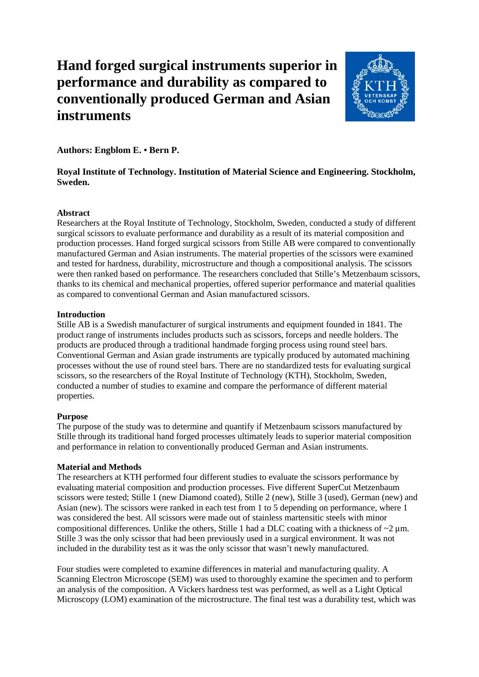# **Hand forged surgical instruments superior in performance and durability as compared to conventionally produced German and Asian instruments**



**Authors: Engblom E. • Bern P.**

# **Royal Institute of Technology. Institution of Material Science and Engineering. Stockholm, Sweden.**  $\overline{a}$

### **Abstract**

Researchers at the Royal Institute of Technology, Stockholm, Sweden, conducted a study of different surgical scissors to evaluate performance and durability as a result of its material composition and production processes. Hand forged surgical scissors from Stille AB were compared to conventionally manufactured German and Asian instruments. The material properties of the scissors were examined and tested for hardness, durability, microstructure and though a compositional analysis. The scissors were then ranked based on performance. The researchers concluded that Stille's Metzenbaum scissors, thanks to its chemical and mechanical properties, offered superior performance and material qualities as compared to conventional German and Asian manufactured scissors.

#### **Introduction**

Stille AB is a Swedish manufacturer of surgical instruments and equipment founded in 1841. The product range of instruments includes products such as scissors, forceps and needle holders. The products are produced through a traditional handmade forging process using round steel bars. Conventional German and Asian grade instruments are typically produced by automated machining processes without the use of round steel bars. There are no standardized tests for evaluating surgical scissors, so the researchers of the Royal Institute of Technology (KTH), Stockholm, Sweden, conducted a number of studies to examine and compare the performance of different material properties.

# **Purpose**

The purpose of the study was to determine and quantify if Metzenbaum scissors manufactured by Stille through its traditional hand forged processes ultimately leads to superior material composition and performance in relation to conventionally produced German and Asian instruments.

# **Material and Methods**

The researchers at KTH performed four different studies to evaluate the scissors performance by evaluating material composition and production processes. Five different SuperCut Metzenbaum scissors were tested; Stille 1 (new Diamond coated), Stille 2 (new), Stille 3 (used), German (new) and Asian (new). The scissors were ranked in each test from 1 to 5 depending on performance, where 1 was considered the best. All scissors were made out of stainless martensitic steels with minor compositional differences. Unlike the others, Stille 1 had a DLC coating with a thickness of  $\sim$ 2  $\mu$ m. Stille 3 was the only scissor that had been previously used in a surgical environment. It was not included in the durability test as it was the only scissor that wasn't newly manufactured.

Four studies were completed to examine differences in material and manufacturing quality. A Scanning Electron Microscope (SEM) was used to thoroughly examine the specimen and to perform an analysis of the composition. A Vickers hardness test was performed, as well as a Light Optical Microscopy (LOM) examination of the microstructure. The final test was a durability test, which was